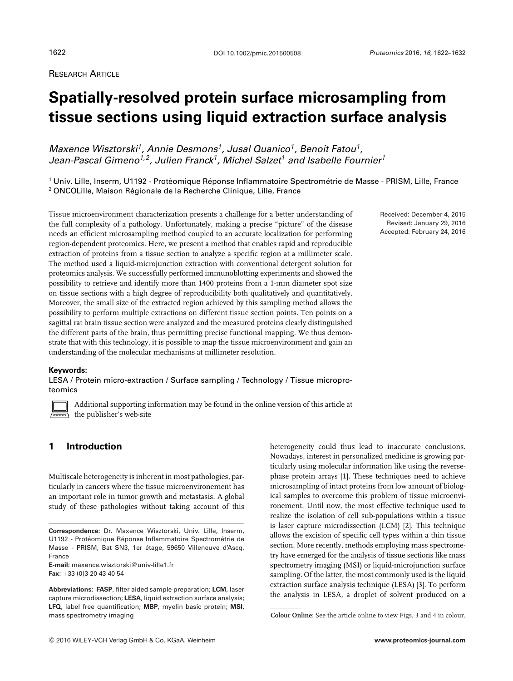RESEARCH ARTICLE

# **Spatially-resolved protein surface microsampling from tissue sections using liquid extraction surface analysis**

*Maxence Wisztorski1, Annie Desmons1, Jusal Quanico1, Benoit Fatou1, Jean-Pascal Gimeno1,2, Julien Franck1, Michel Salzet1 and Isabelle Fournier<sup>1</sup>*

<sup>1</sup> Univ. Lille, Inserm, U1192 - Protéomique Réponse Inflammatoire Spectrométrie de Masse - PRISM, Lille, France <sup>2</sup> ONCOLille, Maison Régionale de la Recherche Clinique, Lille, France

Tissue microenvironment characterization presents a challenge for a better understanding of the full complexity of a pathology. Unfortunately, making a precise "picture" of the disease needs an efficient microsampling method coupled to an accurate localization for performing region-dependent proteomics. Here, we present a method that enables rapid and reproducible extraction of proteins from a tissue section to analyze a specific region at a millimeter scale. The method used a liquid-microjunction extraction with conventional detergent solution for proteomics analysis. We successfully performed immunoblotting experiments and showed the possibility to retrieve and identify more than 1400 proteins from a 1-mm diameter spot size on tissue sections with a high degree of reproducibility both qualitatively and quantitatively. Moreover, the small size of the extracted region achieved by this sampling method allows the possibility to perform multiple extractions on different tissue section points. Ten points on a sagittal rat brain tissue section were analyzed and the measured proteins clearly distinguished the different parts of the brain, thus permitting precise functional mapping. We thus demonstrate that with this technology, it is possible to map the tissue microenvironment and gain an understanding of the molecular mechanisms at millimeter resolution.

#### **Keywords:**

LESA / Protein micro-extraction / Surface sampling / Technology / Tissue microproteomics



Additional supporting information may be found in the online version of this article at the publisher's web-site

# **1 Introduction**

Multiscale heterogeneity is inherent in most pathologies, particularly in cancers where the tissue microenvironement has an important role in tumor growth and metastasis. A global study of these pathologies without taking account of this

**E-mail:** maxence.wisztorski@univ-lille1.fr **Fax:** +33 (0)3 20 43 40 54

heterogeneity could thus lead to inaccurate conclusions. Nowadays, interest in personalized medicine is growing particularly using molecular information like using the reversephase protein arrays [1]. These techniques need to achieve microsampling of intact proteins from low amount of biological samples to overcome this problem of tissue microenvironement. Until now, the most effective technique used to realize the isolation of cell sub-populations within a tissue is laser capture microdissection (LCM) [2]. This technique allows the excision of specific cell types within a thin tissue section. More recently, methods employing mass spectrometry have emerged for the analysis of tissue sections like mass spectrometry imaging (MSI) or liquid-microjunction surface sampling. Of the latter, the most commonly used is the liquid extraction surface analysis technique (LESA) [3]. To perform the analysis in LESA, a droplet of solvent produced on a

Received: December 4, 2015 Revised: January 29, 2016 Accepted: February 24, 2016

**Correspondence:** Dr. Maxence Wisztorski, Univ. Lille, Inserm, U1192 - Protéomique Réponse Inflammatoire Spectrométrie de Masse - PRISM, Bat SN3, 1er étage, 59650 Villeneuve d'Ascq, France

**Abbreviations: FASP**, filter aided sample preparation; **LCM**, laser capture microdissection; **LESA**, liquid extraction surface analysis; **LFQ**, label free quantification; **MBP**, myelin basic protein; **MSI**, mass spectrometry imaging

**Colour Online:** See the article online to view Figs. 3 and 4 in colour.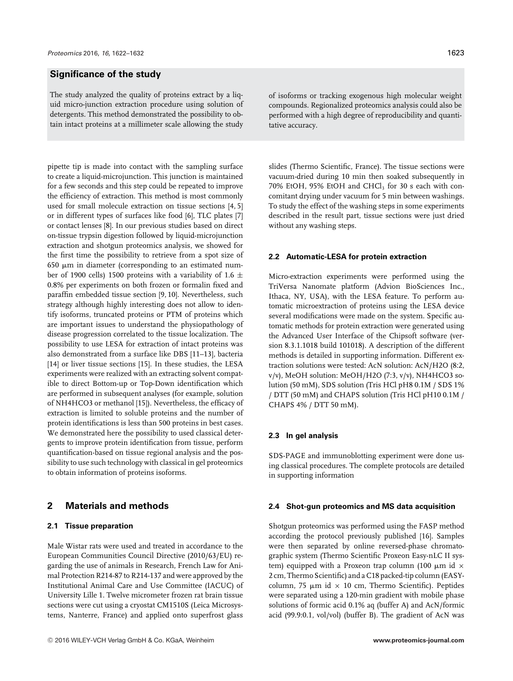# **Significance of the study**

The study analyzed the quality of proteins extract by a liquid micro-junction extraction procedure using solution of detergents. This method demonstrated the possibility to obtain intact proteins at a millimeter scale allowing the study

pipette tip is made into contact with the sampling surface to create a liquid-microjunction. This junction is maintained for a few seconds and this step could be repeated to improve the efficiency of extraction. This method is most commonly used for small molecule extraction on tissue sections [4, 5] or in different types of surfaces like food [6], TLC plates [7] or contact lenses [8]. In our previous studies based on direct on-tissue trypsin digestion followed by liquid-microjunction extraction and shotgun proteomics analysis, we showed for the first time the possibility to retrieve from a spot size of 650 µm in diameter (corresponding to an estimated number of 1900 cells) 1500 proteins with a variability of 1.6  $\pm$ 0.8% per experiments on both frozen or formalin fixed and paraffin embedded tissue section [9, 10]. Nevertheless, such strategy although highly interesting does not allow to identify isoforms, truncated proteins or PTM of proteins which are important issues to understand the physiopathology of disease progression correlated to the tissue localization. The possibility to use LESA for extraction of intact proteins was also demonstrated from a surface like DBS [11–13], bacteria [14] or liver tissue sections [15]. In these studies, the LESA experiments were realized with an extracting solvent compatible to direct Bottom-up or Top-Down identification which are performed in subsequent analyses (for example, solution of NH4HCO3 or methanol [15]). Nevertheless, the efficacy of extraction is limited to soluble proteins and the number of protein identifications is less than 500 proteins in best cases. We demonstrated here the possibility to used classical detergents to improve protein identification from tissue, perform quantification-based on tissue regional analysis and the possibility to use such technology with classical in gel proteomics to obtain information of proteins isoforms.

# **2 Materials and methods**

#### **2.1 Tissue preparation**

Male Wistar rats were used and treated in accordance to the European Communities Council Directive (2010/63/EU) regarding the use of animals in Research, French Law for Animal Protection R214-87 to R214-137 and were approved by the Institutional Animal Care and Use Committee (IACUC) of University Lille 1. Twelve micrometer frozen rat brain tissue sections were cut using a cryostat CM1510S (Leica Microsystems, Nanterre, France) and applied onto superfrost glass

of isoforms or tracking exogenous high molecular weight compounds. Regionalized proteomics analysis could also be performed with a high degree of reproducibility and quantitative accuracy.

slides (Thermo Scientific, France). The tissue sections were vacuum-dried during 10 min then soaked subsequently in  $70\%$  EtOH,  $95\%$  EtOH and CHCl<sub>3</sub> for 30 s each with concomitant drying under vacuum for 5 min between washings. To study the effect of the washing steps in some experiments described in the result part, tissue sections were just dried without any washing steps.

#### **2.2 Automatic-LESA for protein extraction**

Micro-extraction experiments were performed using the TriVersa Nanomate platform (Advion BioSciences Inc., Ithaca, NY, USA), with the LESA feature. To perform automatic microextraction of proteins using the LESA device several modifications were made on the system. Specific automatic methods for protein extraction were generated using the Advanced User Interface of the Chipsoft software (version 8.3.1.1018 build 101018). A description of the different methods is detailed in supporting information. Different extraction solutions were tested: AcN solution: AcN/H2O (8:2, v/v), MeOH solution: MeOH/H2O (7:3, v/v), NH4HCO3 solution (50 mM), SDS solution (Tris HCl pH8 0.1M / SDS 1% / DTT (50 mM) and CHAPS solution (Tris HCl pH10 0.1M / CHAPS 4% / DTT 50 mM).

## **2.3 In gel analysis**

SDS-PAGE and immunoblotting experiment were done using classical procedures. The complete protocols are detailed in supporting information

#### **2.4 Shot-gun proteomics and MS data acquisition**

Shotgun proteomics was performed using the FASP method according the protocol previously published [16]. Samples were then separated by online reversed-phase chromatographic system (Thermo Scientific Proxeon Easy-nLC II system) equipped with a Proxeon trap column (100  $\mu$ m id  $\times$ 2 cm, Thermo Scientific) and a C18 packed-tip column (EASYcolumn, 75  $\mu$ m id × 10 cm, Thermo Scientific). Peptides were separated using a 120-min gradient with mobile phase solutions of formic acid 0.1% aq (buffer A) and AcN/formic acid (99.9:0.1, vol/vol) (buffer B). The gradient of AcN was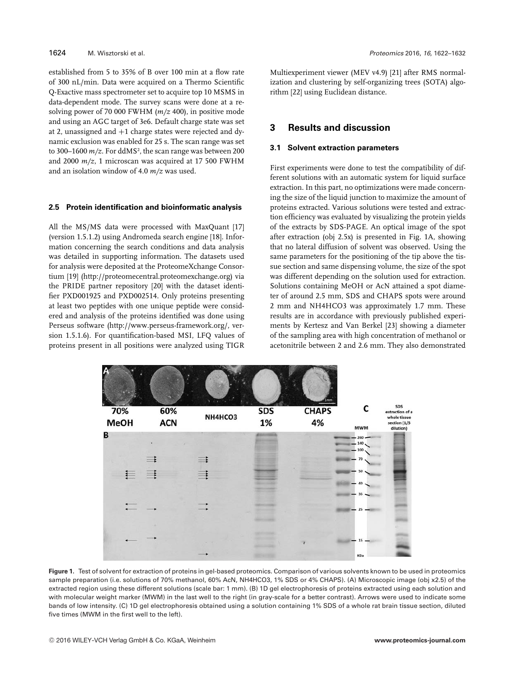established from 5 to 35% of B over 100 min at a flow rate of 300 nL/min. Data were acquired on a Thermo Scientific Q-Exactive mass spectrometer set to acquire top 10 MSMS in data-dependent mode. The survey scans were done at a resolving power of 70 000 FWHM (*m/z* 400), in positive mode and using an AGC target of 3e6. Default charge state was set at 2, unassigned and  $+1$  charge states were rejected and dynamic exclusion was enabled for 25 s. The scan range was set to 300–1600 *m/z*. For ddMS², the scan range was between 200 and 2000 *m/z*, 1 microscan was acquired at 17 500 FWHM and an isolation window of 4.0 *m/z* was used.

#### **2.5 Protein identification and bioinformatic analysis**

All the MS/MS data were processed with MaxQuant [17] (version 1.5.1.2) using Andromeda search engine [18]. Information concerning the search conditions and data analysis was detailed in supporting information. The datasets used for analysis were deposited at the ProteomeXchange Consortium [19] [\(http://proteomecentral.proteomexchange.org\)](http://proteomecentral.proteomexchange.org) via the PRIDE partner repository [20] with the dataset identifier PXD001925 and PXD002514. Only proteins presenting at least two peptides with one unique peptide were considered and analysis of the proteins identified was done using Perseus software [\(http://www.perseus-framework.org/,](http://www.perseus-framework.org/) version 1.5.1.6). For quantification-based MSI, LFQ values of proteins present in all positions were analyzed using TIGR

Multiexperiment viewer (MEV v4.9) [21] after RMS normalization and clustering by self-organizing trees (SOTA) algorithm [22] using Euclidean distance.

# **3 Results and discussion**

#### **3.1 Solvent extraction parameters**

First experiments were done to test the compatibility of different solutions with an automatic system for liquid surface extraction. In this part, no optimizations were made concerning the size of the liquid junction to maximize the amount of proteins extracted. Various solutions were tested and extraction efficiency was evaluated by visualizing the protein yields of the extracts by SDS-PAGE. An optical image of the spot after extraction (obj 2.5x) is presented in Fig. 1A, showing that no lateral diffusion of solvent was observed. Using the same parameters for the positioning of the tip above the tissue section and same dispensing volume, the size of the spot was different depending on the solution used for extraction. Solutions containing MeOH or AcN attained a spot diameter of around 2.5 mm, SDS and CHAPS spots were around 2 mm and NH4HCO3 was approximately 1.7 mm. These results are in accordance with previously published experiments by Kertesz and Van Berkel [23] showing a diameter of the sampling area with high concentration of methanol or acetonitrile between 2 and 2.6 mm. They also demonstrated



**Figure 1.** Test of solvent for extraction of proteins in gel-based proteomics. Comparison of various solvents known to be used in proteomics sample preparation (i.e. solutions of 70% methanol, 60% AcN, NH4HCO3, 1% SDS or 4% CHAPS). (A) Microscopic image (obj x2.5) of the extracted region using these different solutions (scale bar: 1 mm). (B) 1D gel electrophoresis of proteins extracted using each solution and with molecular weight marker (MWM) in the last well to the right (in gray-scale for a better contrast). Arrows were used to indicate some bands of low intensity. (C) 1D gel electrophoresis obtained using a solution containing 1% SDS of a whole rat brain tissue section, diluted five times (MWM in the first well to the left).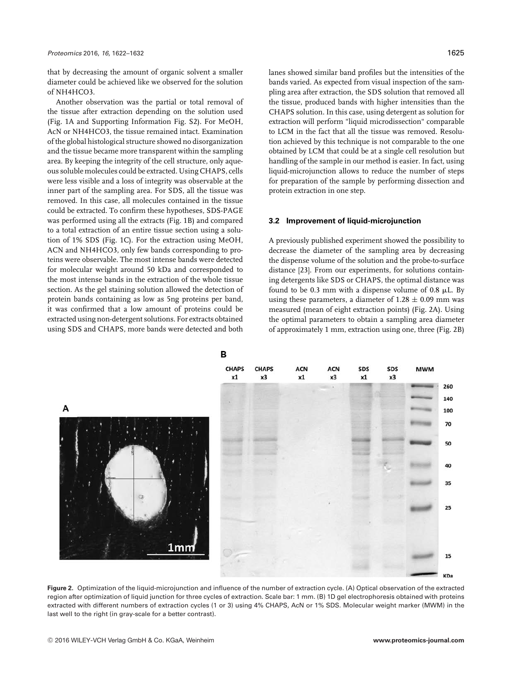that by decreasing the amount of organic solvent a smaller diameter could be achieved like we observed for the solution of NH4HCO3.

Another observation was the partial or total removal of the tissue after extraction depending on the solution used (Fig. 1A and Supporting Information Fig. S2). For MeOH, AcN or NH4HCO3, the tissue remained intact. Examination of the global histological structure showed no disorganization and the tissue became more transparent within the sampling area. By keeping the integrity of the cell structure, only aqueous soluble molecules could be extracted. Using CHAPS, cells were less visible and a loss of integrity was observable at the inner part of the sampling area. For SDS, all the tissue was removed. In this case, all molecules contained in the tissue could be extracted. To confirm these hypotheses, SDS-PAGE was performed using all the extracts (Fig. 1B) and compared to a total extraction of an entire tissue section using a solution of 1% SDS (Fig. 1C). For the extraction using MeOH, ACN and NH4HCO3, only few bands corresponding to proteins were observable. The most intense bands were detected for molecular weight around 50 kDa and corresponded to the most intense bands in the extraction of the whole tissue section. As the gel staining solution allowed the detection of protein bands containing as low as 5ng proteins per band, it was confirmed that a low amount of proteins could be extracted using non-detergent solutions. For extracts obtained using SDS and CHAPS, more bands were detected and both

lanes showed similar band profiles but the intensities of the bands varied. As expected from visual inspection of the sampling area after extraction, the SDS solution that removed all the tissue, produced bands with higher intensities than the CHAPS solution. In this case, using detergent as solution for extraction will perform "liquid microdissection" comparable to LCM in the fact that all the tissue was removed. Resolution achieved by this technique is not comparable to the one obtained by LCM that could be at a single cell resolution but handling of the sample in our method is easier. In fact, using liquid-microjunction allows to reduce the number of steps for preparation of the sample by performing dissection and protein extraction in one step.

#### **3.2 Improvement of liquid-microjunction**

A previously published experiment showed the possibility to decrease the diameter of the sampling area by decreasing the dispense volume of the solution and the probe-to-surface distance [23]. From our experiments, for solutions containing detergents like SDS or CHAPS, the optimal distance was found to be 0.3 mm with a dispense volume of 0.8  $\mu$ L. By using these parameters, a diameter of  $1.28 \pm 0.09$  mm was measured (mean of eight extraction points) (Fig. 2A). Using the optimal parameters to obtain a sampling area diameter of approximately 1 mm, extraction using one, three (Fig. 2B)



**Figure 2.** Optimization of the liquid-microjunction and influence of the number of extraction cycle. (A) Optical observation of the extracted region after optimization of liquid junction for three cycles of extraction. Scale bar: 1 mm. (B) 1D gel electrophoresis obtained with proteins extracted with different numbers of extraction cycles (1 or 3) using 4% CHAPS, AcN or 1% SDS. Molecular weight marker (MWM) in the last well to the right (in gray-scale for a better contrast).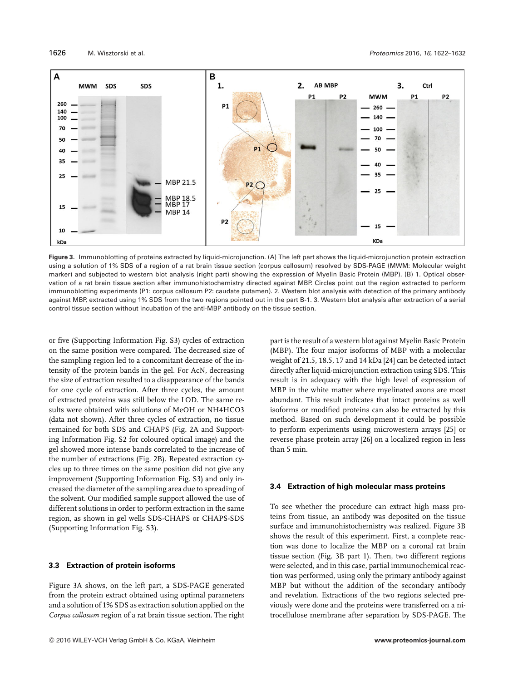

**Figure 3.** Immunoblotting of proteins extracted by liquid-microjunction. (A) The left part shows the liquid-microjunction protein extraction using a solution of 1% SDS of a region of a rat brain tissue section (corpus callosum) resolved by SDS-PAGE (MWM: Molecular weight marker) and subjected to western blot analysis (right part) showing the expression of Myelin Basic Protein (MBP). (B) 1. Optical observation of a rat brain tissue section after immunohistochemistry directed against MBP. Circles point out the region extracted to perform immunoblotting experiments (P1: corpus callosum P2: caudate putamen). 2. Western blot analysis with detection of the primary antibody against MBP, extracted using 1% SDS from the two regions pointed out in the part B-1. 3. Western blot analysis after extraction of a serial control tissue section without incubation of the anti-MBP antibody on the tissue section.

or five (Supporting Information Fig. S3) cycles of extraction on the same position were compared. The decreased size of the sampling region led to a concomitant decrease of the intensity of the protein bands in the gel. For AcN, decreasing the size of extraction resulted to a disappearance of the bands for one cycle of extraction. After three cycles, the amount of extracted proteins was still below the LOD. The same results were obtained with solutions of MeOH or NH4HCO3 (data not shown). After three cycles of extraction, no tissue remained for both SDS and CHAPS (Fig. 2A and Supporting Information Fig. S2 for coloured optical image) and the gel showed more intense bands correlated to the increase of the number of extractions (Fig. 2B). Repeated extraction cycles up to three times on the same position did not give any improvement (Supporting Information Fig. S3) and only increased the diameter of the sampling area due to spreading of the solvent. Our modified sample support allowed the use of different solutions in order to perform extraction in the same region, as shown in gel wells SDS-CHAPS or CHAPS-SDS (Supporting Information Fig. S3).

# **3.3 Extraction of protein isoforms**

Figure 3A shows, on the left part, a SDS-PAGE generated from the protein extract obtained using optimal parameters and a solution of 1% SDS as extraction solution applied on the *Corpus callosum* region of a rat brain tissue section. The right part is the result of a western blot against Myelin Basic Protein (MBP). The four major isoforms of MBP with a molecular weight of 21.5, 18.5, 17 and 14 kDa [24] can be detected intact directly after liquid-microjunction extraction using SDS. This result is in adequacy with the high level of expression of MBP in the white matter where myelinated axons are most abundant. This result indicates that intact proteins as well isoforms or modified proteins can also be extracted by this method. Based on such development it could be possible to perform experiments using microwestern arrays [25] or reverse phase protein array [26] on a localized region in less than 5 min.

# **3.4 Extraction of high molecular mass proteins**

To see whether the procedure can extract high mass proteins from tissue, an antibody was deposited on the tissue surface and immunohistochemistry was realized. Figure 3B shows the result of this experiment. First, a complete reaction was done to localize the MBP on a coronal rat brain tissue section (Fig. 3B part 1). Then, two different regions were selected, and in this case, partial immunochemical reaction was performed, using only the primary antibody against MBP but without the addition of the secondary antibody and revelation. Extractions of the two regions selected previously were done and the proteins were transferred on a nitrocellulose membrane after separation by SDS-PAGE. The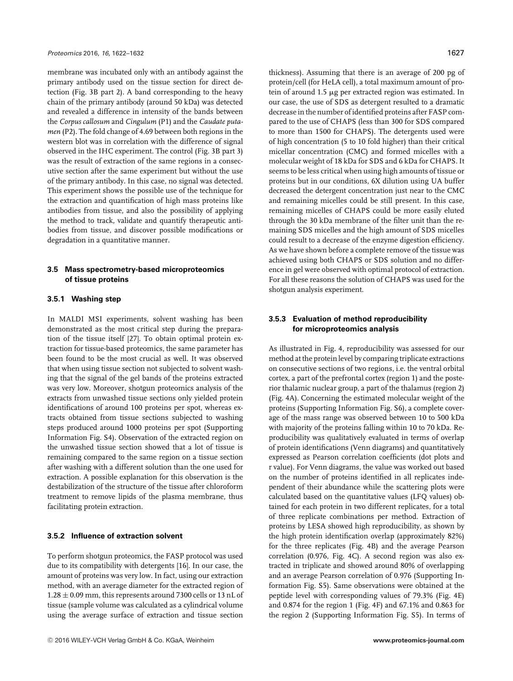membrane was incubated only with an antibody against the primary antibody used on the tissue section for direct detection (Fig. 3B part 2). A band corresponding to the heavy chain of the primary antibody (around 50 kDa) was detected and revealed a difference in intensity of the bands between the *Corpus callosum* and *Cingulum* (P1) and the *Caudate putamen* (P2). The fold change of 4.69 between both regions in the western blot was in correlation with the difference of signal observed in the IHC experiment. The control (Fig. 3B part 3) was the result of extraction of the same regions in a consecutive section after the same experiment but without the use of the primary antibody. In this case, no signal was detected. This experiment shows the possible use of the technique for the extraction and quantification of high mass proteins like antibodies from tissue, and also the possibility of applying the method to track, validate and quantify therapeutic antibodies from tissue, and discover possible modifications or degradation in a quantitative manner.

## **3.5 Mass spectrometry-based microproteomics of tissue proteins**

## **3.5.1 Washing step**

In MALDI MSI experiments, solvent washing has been demonstrated as the most critical step during the preparation of the tissue itself [27]. To obtain optimal protein extraction for tissue-based proteomics, the same parameter has been found to be the most crucial as well. It was observed that when using tissue section not subjected to solvent washing that the signal of the gel bands of the proteins extracted was very low. Moreover, shotgun proteomics analysis of the extracts from unwashed tissue sections only yielded protein identifications of around 100 proteins per spot, whereas extracts obtained from tissue sections subjected to washing steps produced around 1000 proteins per spot (Supporting Information Fig. S4). Observation of the extracted region on the unwashed tissue section showed that a lot of tissue is remaining compared to the same region on a tissue section after washing with a different solution than the one used for extraction. A possible explanation for this observation is the destabilization of the structure of the tissue after chloroform treatment to remove lipids of the plasma membrane, thus facilitating protein extraction.

#### **3.5.2 Influence of extraction solvent**

To perform shotgun proteomics, the FASP protocol was used due to its compatibility with detergents [16]. In our case, the amount of proteins was very low. In fact, using our extraction method, with an average diameter for the extracted region of  $1.28 \pm 0.09$  mm, this represents around 7300 cells or 13 nL of tissue (sample volume was calculated as a cylindrical volume using the average surface of extraction and tissue section

thickness). Assuming that there is an average of 200 pg of protein/cell (for HeLA cell), a total maximum amount of protein of around 1.5 µg per extracted region was estimated. In our case, the use of SDS as detergent resulted to a dramatic decrease in the number of identified proteins after FASP compared to the use of CHAPS (less than 300 for SDS compared to more than 1500 for CHAPS). The detergents used were of high concentration (5 to 10 fold higher) than their critical micellar concentration (CMC) and formed micelles with a molecular weight of 18 kDa for SDS and 6 kDa for CHAPS. It seems to be less critical when using high amounts of tissue or proteins but in our conditions, 6X dilution using UA buffer decreased the detergent concentration just near to the CMC and remaining micelles could be still present. In this case, remaining micelles of CHAPS could be more easily eluted through the 30 kDa membrane of the filter unit than the remaining SDS micelles and the high amount of SDS micelles could result to a decrease of the enzyme digestion efficiency. As we have shown before a complete remove of the tissue was achieved using both CHAPS or SDS solution and no difference in gel were observed with optimal protocol of extraction. For all these reasons the solution of CHAPS was used for the shotgun analysis experiment.

# **3.5.3 Evaluation of method reproducibility for microproteomics analysis**

As illustrated in Fig. 4, reproducibility was assessed for our method at the protein level by comparing triplicate extractions on consecutive sections of two regions, i.e. the ventral orbital cortex, a part of the prefrontal cortex (region 1) and the posterior thalamic nuclear group, a part of the thalamus (region 2) (Fig. 4A). Concerning the estimated molecular weight of the proteins (Supporting Information Fig. S6), a complete coverage of the mass range was observed between 10 to 500 kDa with majority of the proteins falling within 10 to 70 kDa. Reproducibility was qualitatively evaluated in terms of overlap of protein identifications (Venn diagrams) and quantitatively expressed as Pearson correlation coefficients (dot plots and r value). For Venn diagrams, the value was worked out based on the number of proteins identified in all replicates independent of their abundance while the scattering plots were calculated based on the quantitative values (LFQ values) obtained for each protein in two different replicates, for a total of three replicate combinations per method. Extraction of proteins by LESA showed high reproducibility, as shown by the high protein identification overlap (approximately 82%) for the three replicates (Fig. 4B) and the average Pearson correlation (0.976, Fig. 4C). A second region was also extracted in triplicate and showed around 80% of overlapping and an average Pearson correlation of 0.976 (Supporting Information Fig. S5). Same observations were obtained at the peptide level with corresponding values of 79.3% (Fig. 4E) and 0.874 for the region 1 (Fig. 4F) and 67.1% and 0.863 for the region 2 (Supporting Information Fig. S5). In terms of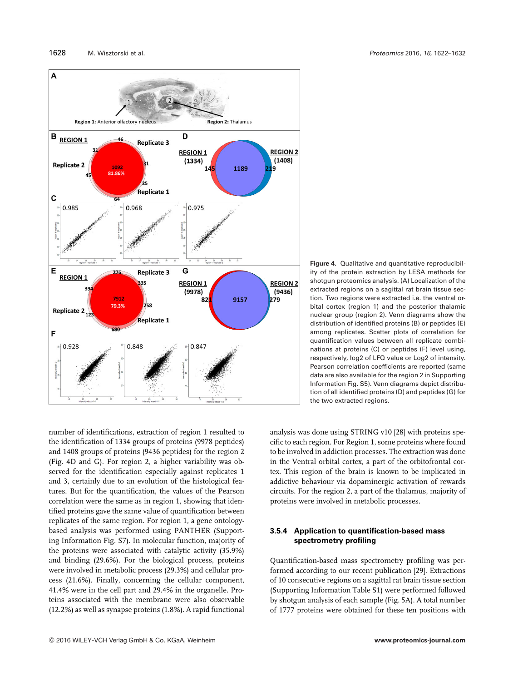

number of identifications, extraction of region 1 resulted to the identification of 1334 groups of proteins (9978 peptides) and 1408 groups of proteins (9436 peptides) for the region 2 (Fig. 4D and G). For region 2, a higher variability was observed for the identification especially against replicates 1 and 3, certainly due to an evolution of the histological features. But for the quantification, the values of the Pearson correlation were the same as in region 1, showing that identified proteins gave the same value of quantification between replicates of the same region. For region 1, a gene ontologybased analysis was performed using PANTHER (Supporting Information Fig. S7). In molecular function, majority of the proteins were associated with catalytic activity (35.9%) and binding (29.6%). For the biological process, proteins were involved in metabolic process (29.3%) and cellular process (21.6%). Finally, concerning the cellular component, 41.4% were in the cell part and 29.4% in the organelle. Proteins associated with the membrane were also observable (12.2%) as well as synapse proteins (1.8%). A rapid functional

**Figure 4.** Qualitative and quantitative reproducibility of the protein extraction by LESA methods for shotgun proteomics analysis. (A) Localization of the extracted regions on a sagittal rat brain tissue section. Two regions were extracted i.e. the ventral orbital cortex (region 1) and the posterior thalamic nuclear group (region 2). Venn diagrams show the distribution of identified proteins (B) or peptides (E) among replicates. Scatter plots of correlation for quantification values between all replicate combinations at proteins (C) or peptides (F) level using, respectively, log2 of LFQ value or Log2 of intensity. Pearson correlation coefficients are reported (same data are also available for the region 2 in Supporting Information Fig. S5). Venn diagrams depict distribution of all identified proteins (D) and peptides (G) for the two extracted regions.

analysis was done using STRING v10 [28] with proteins specific to each region. For Region 1, some proteins where found to be involved in addiction processes. The extraction was done in the Ventral orbital cortex, a part of the orbitofrontal cortex. This region of the brain is known to be implicated in addictive behaviour via dopaminergic activation of rewards circuits. For the region 2, a part of the thalamus, majority of proteins were involved in metabolic processes.

# **3.5.4 Application to quantification-based mass spectrometry profiling**

Quantification-based mass spectrometry profiling was performed according to our recent publication [29]. Extractions of 10 consecutive regions on a sagittal rat brain tissue section (Supporting Information Table S1) were performed followed by shotgun analysis of each sample (Fig. 5A). A total number of 1777 proteins were obtained for these ten positions with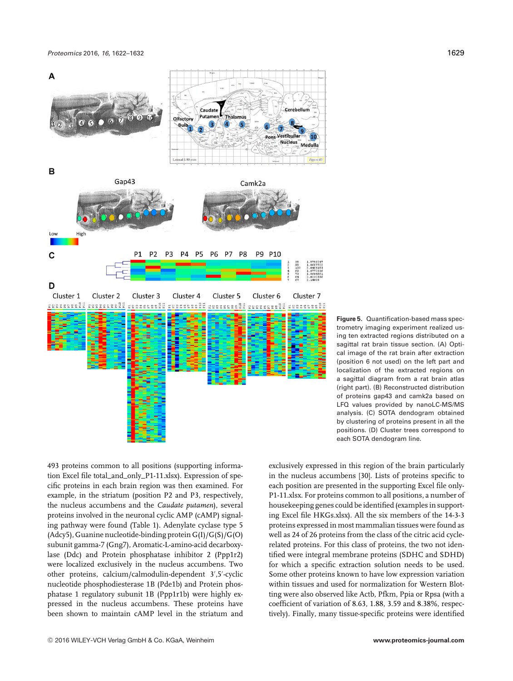*Proteomics* 2016, *16*, 1622–1632 1629



**Figure 5.** Quantification-based mass spectrometry imaging experiment realized using ten extracted regions distributed on a sagittal rat brain tissue section. (A) Optical image of the rat brain after extraction (position 6 not used) on the left part and localization of the extracted regions on a sagittal diagram from a rat brain atlas (right part). (B) Reconstructed distribution of proteins gap43 and camk2a based on LFQ values provided by nanoLC-MS/MS analysis. (C) SOTA dendogram obtained by clustering of proteins present in all the positions. (D) Cluster trees correspond to each SOTA dendogram line.

493 proteins common to all positions (supporting information Excel file total\_and\_only\_P1-11.xlsx). Expression of specific proteins in each brain region was then examined. For example, in the striatum (position P2 and P3, respectively, the nucleus accumbens and the *Caudate putamen*), several proteins involved in the neuronal cyclic AMP (cAMP) signaling pathway were found (Table 1). Adenylate cyclase type 5 (Adcy5), Guanine nucleotide-binding protein G(I)/G(S)/G(O) subunit gamma-7 (Gng7), Aromatic-L-amino-acid decarboxylase (Ddc) and Protein phosphatase inhibitor 2 (Ppp1r2) were localized exclusively in the nucleus accumbens. Two other proteins, calcium/calmodulin-dependent 3 ,5 -cyclic nucleotide phosphodiesterase 1B (Pde1b) and Protein phosphatase 1 regulatory subunit 1B (Ppp1r1b) were highly expressed in the nucleus accumbens. These proteins have been shown to maintain cAMP level in the striatum and exclusively expressed in this region of the brain particularly in the nucleus accumbens [30]. Lists of proteins specific to each position are presented in the supporting Excel file only-P1-11.xlsx. For proteins common to all positions, a number of housekeeping genes could be identified (examples in supporting Excel file HKGs.xlsx). All the six members of the 14-3-3 proteins expressed in most mammalian tissues were found as well as 24 of 26 proteins from the class of the citric acid cyclerelated proteins. For this class of proteins, the two not identified were integral membrane proteins (SDHC and SDHD) for which a specific extraction solution needs to be used. Some other proteins known to have low expression variation within tissues and used for normalization for Western Blotting were also observed like Actb, Pfkm, Ppia or Rpsa (with a coefficient of variation of 8.63, 1.88, 3.59 and 8.38%, respectively). Finally, many tissue-specific proteins were identified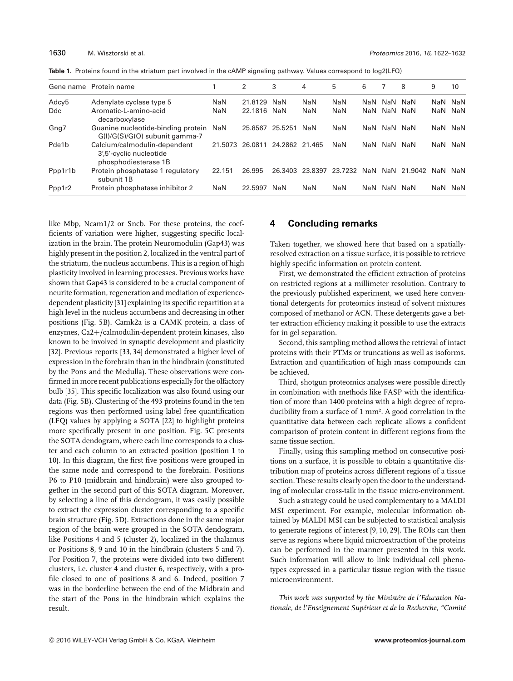**Table 1.** Proteins found in the striatum part involved in the cAMP signaling pathway. Values correspond to log2(LFQ)

|            | Gene name Protein name                                                          |         | 2           | 3              | 4          | 5          | 6   |         | 8       | 9   | 10      |
|------------|---------------------------------------------------------------------------------|---------|-------------|----------------|------------|------------|-----|---------|---------|-----|---------|
| Adcy5      | Adenylate cyclase type 5                                                        | NaN     | 21.8129 NaN |                | NaN        | NaN        |     | NaN NaN | NaN     |     | NaN NaN |
| <b>Ddc</b> | Aromatic-L-amino-acid<br>decarboxylase                                          | NaN     | 22.1816 NaN |                | <b>NaN</b> | NaN        | NaN | NaN NaN |         |     | NaN NaN |
| Gng7       | Guanine nucleotide-binding protein<br>G(I)/G(S)/G(O) subunit gamma-7            | NaN     | 25.8567     | 25.5251        | NaN        | <b>NaN</b> | NaN | NaN     | NaN     |     | NaN NaN |
| Pde1b      | Calcium/calmodulin-dependent<br>3',5'-cyclic nucleotide<br>phosphodiesterase 1B | 21.5073 | 26.0811     | 24.2862 21.465 |            | NaN        | NaN | NaN     | NaN     |     | NaN NaN |
| Ppp1r1b    | Protein phosphatase 1 regulatory<br>subunit 1B                                  | 22.151  | 26.995      | 26.3403        | 23.8397    | 23.7232    | NaN | NaN     | 21.9042 | NaN | NaN     |
| Ppp1r2     | Protein phosphatase inhibitor 2                                                 | NaN     | 22.5997     | NaN            | NaN        | NaN        | NaN | NaN     | NaN     |     | NaN NaN |

like Mbp, Ncam1/2 or Sncb. For these proteins, the coefficients of variation were higher, suggesting specific localization in the brain. The protein Neuromodulin (Gap43) was highly present in the position 2, localized in the ventral part of the striatum, the nucleus accumbens. This is a region of high plasticity involved in learning processes. Previous works have shown that Gap43 is considered to be a crucial component of neurite formation, regeneration and mediation of experiencedependent plasticity [31] explaining its specific repartition at a high level in the nucleus accumbens and decreasing in other positions (Fig. 5B). Camk2a is a CAMK protein, a class of enzymes, Ca2+/calmodulin-dependent protein kinases, also known to be involved in synaptic development and plasticity [32]. Previous reports [33, 34] demonstrated a higher level of expression in the forebrain than in the hindbrain (constituted by the Pons and the Medulla). These observations were confirmed in more recent publications especially for the olfactory bulb [35]. This specific localization was also found using our data (Fig. 5B). Clustering of the 493 proteins found in the ten regions was then performed using label free quantification (LFQ) values by applying a SOTA [22] to highlight proteins more specifically present in one position. Fig. 5C presents the SOTA dendogram, where each line corresponds to a cluster and each column to an extracted position (position 1 to 10). In this diagram, the first five positions were grouped in the same node and correspond to the forebrain. Positions P6 to P10 (midbrain and hindbrain) were also grouped together in the second part of this SOTA diagram. Moreover, by selecting a line of this dendogram, it was easily possible to extract the expression cluster corresponding to a specific brain structure (Fig. 5D). Extractions done in the same major region of the brain were grouped in the SOTA dendogram, like Positions 4 and 5 (cluster 2), localized in the thalamus or Positions 8, 9 and 10 in the hindbrain (clusters 5 and 7). For Position 7, the proteins were divided into two different clusters, i.e. cluster 4 and cluster 6, respectively, with a profile closed to one of positions 8 and 6. Indeed, position 7 was in the borderline between the end of the Midbrain and the start of the Pons in the hindbrain which explains the result.

# **4 Concluding remarks**

Taken together, we showed here that based on a spatiallyresolved extraction on a tissue surface, it is possible to retrieve highly specific information on protein content.

First, we demonstrated the efficient extraction of proteins on restricted regions at a millimeter resolution. Contrary to the previously published experiment, we used here conventional detergents for proteomics instead of solvent mixtures composed of methanol or ACN. These detergents gave a better extraction efficiency making it possible to use the extracts for in gel separation.

Second, this sampling method allows the retrieval of intact proteins with their PTMs or truncations as well as isoforms. Extraction and quantification of high mass compounds can be achieved.

Third, shotgun proteomics analyses were possible directly in combination with methods like FASP with the identification of more than 1400 proteins with a high degree of reproducibility from a surface of 1 mm². A good correlation in the quantitative data between each replicate allows a confident comparison of protein content in different regions from the same tissue section.

Finally, using this sampling method on consecutive positions on a surface, it is possible to obtain a quantitative distribution map of proteins across different regions of a tissue section. These results clearly open the door to the understanding of molecular cross-talk in the tissue micro-environment.

Such a strategy could be used complementary to a MALDI MSI experiment. For example, molecular information obtained by MALDI MSI can be subjected to statistical analysis to generate regions of interest [9, 10, 29]. The ROIs can then serve as regions where liquid microextraction of the proteins can be performed in the manner presented in this work. Such information will allow to link individual cell phenotypes expressed in a particular tissue region with the tissue microenvironment.

*This work was supported by the Ministere de l'Education Na- ` tionale, de l'Enseignement Superieur et de la Recherche, "Comit ´ e´*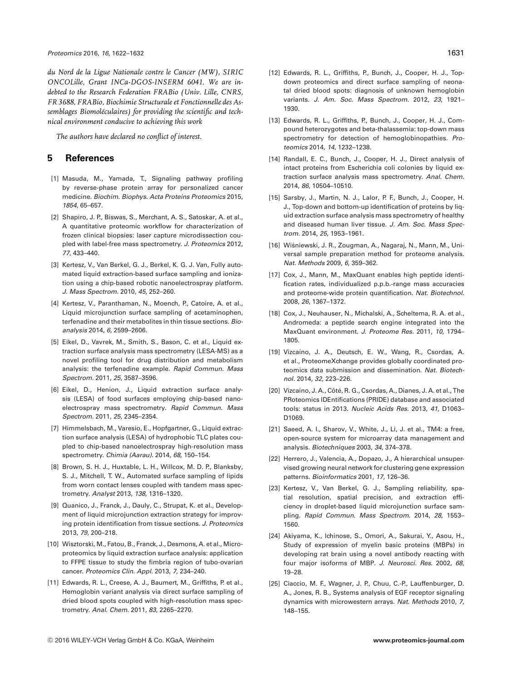*du Nord de la Ligue Nationale contre le Cancer (MW), SIRIC ONCOLille, Grant INCa-DGOS-INSERM 6041. We are indebted to the Research Federation FRABio (Univ. Lille, CNRS, FR 3688, FRABio, Biochimie Structurale et Fonctionnelle des Assemblages Biomoleculaires) for providing the scientific and tech- ´ nical environment conducive to achieving this work*

*The authors have declared no conflict of interest.*

# **5 References**

- [1] Masuda, M., Yamada, T., Signaling pathway profiling by reverse-phase protein array for personalized cancer medicine. *Biochim. Biophys. Acta Proteins Proteomics* 2015, *1854*, 65–657.
- [2] Shapiro, J. P., Biswas, S., Merchant, A. S., Satoskar, A. et al., A quantitative proteomic workflow for characterization of frozen clinical biopsies: laser capture microdissection coupled with label-free mass spectrometry. *J. Proteomics* 2012, *77*, 433–440.
- [3] Kertesz, V., Van Berkel, G. J., Berkel, K. G. J. Van, Fully automated liquid extraction-based surface sampling and ionization using a chip-based robotic nanoelectrospray platform. *J. Mass Spectrom.* 2010, *45*, 252–260.
- [4] Kertesz, V., Paranthaman, N., Moench, P., Catoire, A. et al., Liquid microjunction surface sampling of acetaminophen, terfenadine and their metabolites in thin tissue sections. *Bioanalysis* 2014, *6*, 2599–2606.
- [5] Eikel, D., Vavrek, M., Smith, S., Bason, C. et al., Liquid extraction surface analysis mass spectrometry (LESA-MS) as a novel profiling tool for drug distribution and metabolism analysis: the terfenadine example. *Rapid Commun. Mass Spectrom.* 2011, *25*, 3587–3596.
- [6] Eikel, D., Henion, J., Liquid extraction surface analysis (LESA) of food surfaces employing chip-based nanoelectrospray mass spectrometry. *Rapid Commun. Mass Spectrom.* 2011, *25*, 2345–2354.
- [7] Himmelsbach, M., Varesio, E., Hopfgartner, G., Liquid extraction surface analysis (LESA) of hydrophobic TLC plates coupled to chip-based nanoelectrospray high-resolution mass spectrometry. *Chimia (Aarau).* 2014, *68*, 150–154.
- [8] Brown, S. H. J., Huxtable, L. H., Willcox, M. D. P., Blanksby, S. J., Mitchell, T. W., Automated surface sampling of lipids from worn contact lenses coupled with tandem mass spectrometry. *Analyst* 2013, *138*, 1316–1320.
- [9] Quanico, J., Franck, J., Dauly, C., Strupat, K. et al., Development of liquid microjunction extraction strategy for improving protein identification from tissue sections. *J. Proteomics* 2013, *79*, 200–218.
- [10] Wisztorski, M., Fatou, B., Franck, J., Desmons, A. et al., Microproteomics by liquid extraction surface analysis: application to FFPE tissue to study the fimbria region of tubo-ovarian cancer. *Proteomics Clin. Appl.* 2013, *7*, 234–240.
- [11] Edwards, R. L., Creese, A. J., Baumert, M., Griffiths, P. et al., Hemoglobin variant analysis via direct surface sampling of dried blood spots coupled with high-resolution mass spectrometry. *Anal. Chem.* 2011, *83*, 2265–2270.
- [12] Edwards, R. L., Griffiths, P., Bunch, J., Cooper, H. J., Topdown proteomics and direct surface sampling of neonatal dried blood spots: diagnosis of unknown hemoglobin variants. *J. Am. Soc. Mass Spectrom.* 2012, *23*, 1921– 1930.
- [13] Edwards, R. L., Griffiths, P., Bunch, J., Cooper, H. J., Compound heterozygotes and beta-thalassemia: top-down mass spectrometry for detection of hemoglobinopathies. *Proteomics* 2014, *14*, 1232–1238.
- [14] Randall, E. C., Bunch, J., Cooper, H. J., Direct analysis of intact proteins from Escherichia coli colonies by liquid extraction surface analysis mass spectrometry. *Anal. Chem.* 2014, *86*, 10504–10510.
- [15] Sarsby, J., Martin, N. J., Lalor, P. F., Bunch, J., Cooper, H. J., Top-down and bottom-up identification of proteins by liquid extraction surface analysis mass spectrometry of healthy and diseased human liver tissue. *J. Am. Soc. Mass Spectrom.* 2014, *25*, 1953–1961.
- [16] Wiśniewski, J. R., Zougman, A., Nagaraj, N., Mann, M., Universal sample preparation method for proteome analysis. *Nat. Methods* 2009, *6*, 359–362.
- [17] Cox, J., Mann, M., MaxQuant enables high peptide identification rates, individualized p.p.b.-range mass accuracies and proteome-wide protein quantification. *Nat. Biotechnol.* 2008, *26*, 1367–1372.
- [18] Cox, J., Neuhauser, N., Michalski, A., Scheltema, R. A. et al., Andromeda: a peptide search engine integrated into the MaxQuant environment. *J. Proteome Res.* 2011, *10*, 1794– 1805.
- [19] Vizcaíno, J. A., Deutsch, E. W., Wang, R., Csordas, A. et al., ProteomeXchange provides globally coordinated proteomics data submission and dissemination. *Nat. Biotechnol.* 2014, *32*, 223–226.
- [20] Vizcaíno, J. A., Côté, R. G., Csordas, A., Dianes, J. A. et al., The PRoteomics IDEntifications (PRIDE) database and associated tools: status in 2013. *Nucleic Acids Res.* 2013, *41*, D1063– D1069.
- [21] Saeed, A. I., Sharov, V., White, J., Li, J. et al., TM4: a free, open-source system for microarray data management and analysis. *Biotechniques* 2003, *34*, 374–378.
- [22] Herrero, J., Valencia, A., Dopazo, J., A hierarchical unsupervised growing neural network for clustering gene expression patterns. *Bioinformatics* 2001, *17*, 126–36.
- [23] Kertesz, V., Van Berkel, G. J., Sampling reliability, spatial resolution, spatial precision, and extraction efficiency in droplet-based liquid microjunction surface sampling. *Rapid Commun. Mass Spectrom.* 2014, *28*, 1553– 1560.
- [24] Akiyama, K., Ichinose, S., Omori, A., Sakurai, Y., Asou, H., Study of expression of myelin basic proteins (MBPs) in developing rat brain using a novel antibody reacting with four major isoforms of MBP. *J. Neurosci. Res.* 2002, *68*, 19–28.
- [25] Ciaccio, M. F., Wagner, J. P., Chuu, C.-P., Lauffenburger, D. A., Jones, R. B., Systems analysis of EGF receptor signaling dynamics with microwestern arrays. *Nat. Methods* 2010, *7*, 148–155.